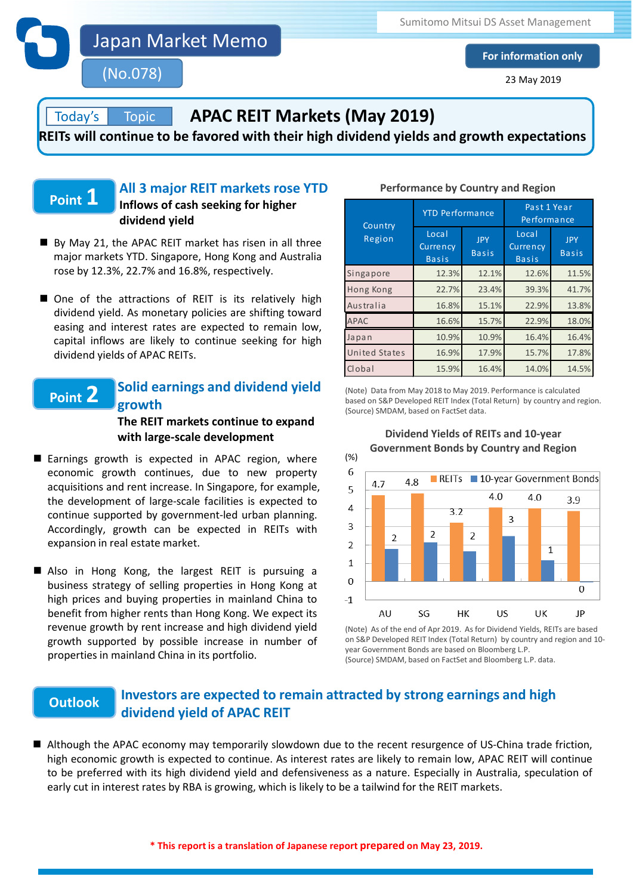Japan Market Memo

(No.078)

Sumitomo Mitsui DS Asset Management

**For information only**

23 May 2019

#### Topic **APAC REIT Markets (May 2019)**

**REITs will continue to be favored with their high dividend yields and growth expectations**

# **Point 1**

Today's

## **All 3 major REIT markets rose YTD Inflows of cash seeking for higher dividend yield**

- By May 21, the APAC REIT market has risen in all three major markets YTD. Singapore, Hong Kong and Australia rose by 12.3%, 22.7% and 16.8%, respectively.
- One of the attractions of REIT is its relatively high dividend yield. As monetary policies are shifting toward easing and interest rates are expected to remain low, capital inflows are likely to continue seeking for high dividend yields of APAC REITs.

### **Solid earnings and dividend yield growth Point 2**

## **The REIT markets continue to expand with large-scale development**

- Earnings growth is expected in APAC region, where economic growth continues, due to new property acquisitions and rent increase. In Singapore, for example, the development of large-scale facilities is expected to continue supported by government-led urban planning. Accordingly, growth can be expected in REITs with expansion in real estate market.
- Also in Hong Kong, the largest REIT is pursuing a business strategy of selling properties in Hong Kong at high prices and buying properties in mainland China to benefit from higher rents than Hong Kong. We expect its revenue growth by rent increase and high dividend yield growth supported by possible increase in number of properties in mainland China in its portfolio.

## **Performance by Country and Region**

| Country<br>Region    | <b>YTD</b> Performance            |                            | Past 1 Year<br>Performance        |                            |
|----------------------|-----------------------------------|----------------------------|-----------------------------------|----------------------------|
|                      | Local<br>Currency<br><b>Basis</b> | <b>JPY</b><br><b>Basis</b> | Local<br>Currency<br><b>Basis</b> | <b>JPY</b><br><b>Basis</b> |
| Singapore            | 12.3%                             | 12.1%                      | 12.6%                             | 11.5%                      |
| Hong Kong            | 22.7%                             | 23.4%                      | 39.3%                             | 41.7%                      |
| Australia            | 16.8%                             | 15.1%                      | 22.9%                             | 13.8%                      |
| <b>APAC</b>          | 16.6%                             | 15.7%                      | 22.9%                             | 18.0%                      |
| Japan                | 10.9%                             | 10.9%                      | 16.4%                             | 16.4%                      |
| <b>United States</b> | 16.9%                             | 17.9%                      | 15.7%                             | 17.8%                      |
| Clobal               | 15.9%                             | 16.4%                      | 14.0%                             | 14.5%                      |

(Note) Data from May 2018 to May 2019. Performance is calculated based on S&P Developed REIT Index (Total Return) by country and region. (Source) SMDAM, based on FactSet data.

**Dividend Yields of REITs and 10-year** 



(Note) As of the end of Apr 2019. As for Dividend Yields, REITs are based on S&P Developed REIT Index (Total Return) by country and region and 10 year Government Bonds are based on Bloomberg L.P. (Source) SMDAM, based on FactSet and Bloomberg L.P. data.

### **Investors are expected to remain attracted by strong earnings and high dividend yield of APAC REIT Outlook**

■ Although the APAC economy may temporarily slowdown due to the recent resurgence of US-China trade friction, high economic growth is expected to continue. As interest rates are likely to remain low, APAC REIT will continue to be preferred with its high dividend yield and defensiveness as a nature. Especially in Australia, speculation of early cut in interest rates by RBA is growing, which is likely to be a tailwind for the REIT markets.